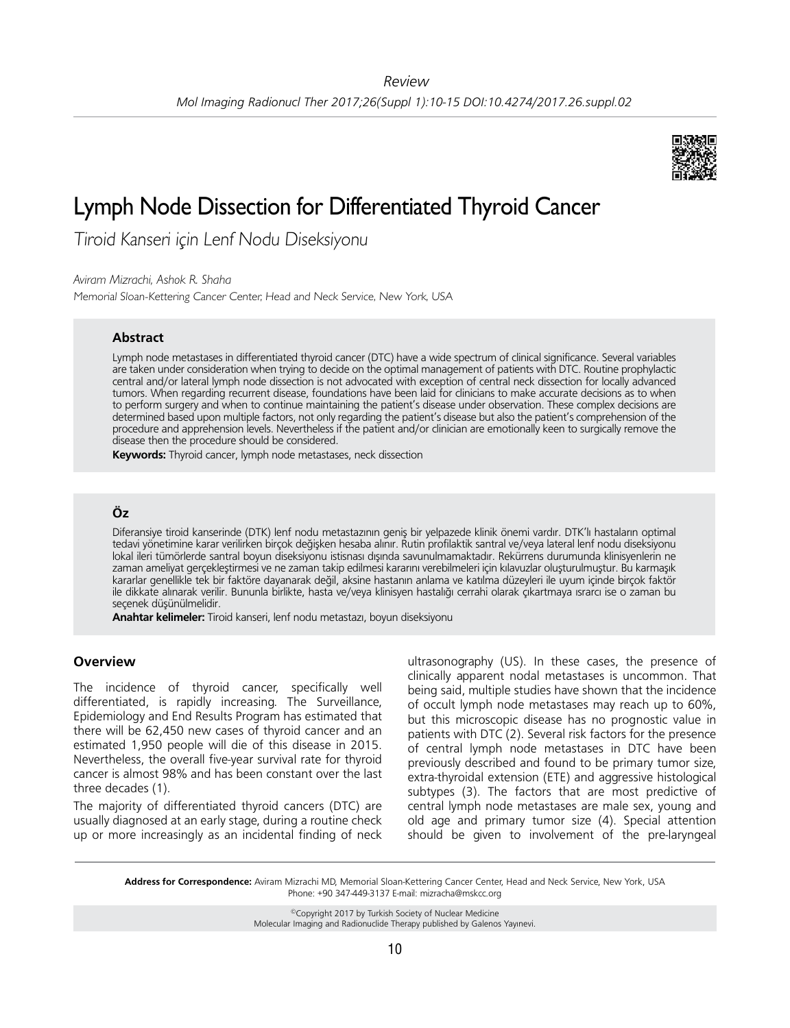

# Lymph Node Dissection for Differentiated Thyroid Cancer

Tiroid Kanseri için Lenf Nodu Diseksiyonu

*Aviram Mizrachi, Ashok R. Shaha*

Memorial Sloan-Kettering Cancer Center, Head and Neck Service, New York, USA

## **Abstract**

Lymph node metastases in differentiated thyroid cancer (DTC) have a wide spectrum of clinical significance. Several variables are taken under consideration when trying to decide on the optimal management of patients with DTC. Routine prophylactic central and/or lateral lymph node dissection is not advocated with exception of central neck dissection for locally advanced tumors. When regarding recurrent disease, foundations have been laid for clinicians to make accurate decisions as to when to perform surgery and when to continue maintaining the patient's disease under observation. These complex decisions are determined based upon multiple factors, not only regarding the patient's disease but also the patient's comprehension of the procedure and apprehension levels. Nevertheless if the patient and/or clinician are emotionally keen to surgically remove the disease then the procedure should be considered.

**Keywords:** Thyroid cancer, lymph node metastases, neck dissection

# **Öz**

Diferansiye tiroid kanserinde (DTK) lenf nodu metastazının geniş bir yelpazede klinik önemi vardır. DTK'lı hastaların optimal tedavi yönetimine karar verilirken birçok değişken hesaba alınır. Rutin profilaktik santral ve/veya lateral lenf nodu diseksiyonu lokal ileri tümörlerde santral boyun diseksiyonu istisnası dışında savunulmamaktadır. Rekürrens durumunda klinisyenlerin ne zaman ameliyat gerçekleştirmesi ve ne zaman takip edilmesi kararını verebilmeleri için kılavuzlar oluşturulmuştur. Bu karmaşık kararlar genellikle tek bir faktöre dayanarak değil, aksine hastanın anlama ve katılma düzeyleri ile uyum içinde birçok faktör ile dikkate alınarak verilir. Bununla birlikte, hasta ve/veya klinisyen hastalığı cerrahi olarak çıkartmaya ısrarcı ise o zaman bu seçenek düşünülmelidir.

**Anahtar kelimeler:** Tiroid kanseri, lenf nodu metastazı, boyun diseksiyonu

# **Overview**

The incidence of thyroid cancer, specifically well differentiated, is rapidly increasing. The Surveillance, Epidemiology and End Results Program has estimated that there will be 62,450 new cases of thyroid cancer and an estimated 1,950 people will die of this disease in 2015. Nevertheless, the overall five-year survival rate for thyroid cancer is almost 98% and has been constant over the last three decades (1).

The majority of differentiated thyroid cancers (DTC) are usually diagnosed at an early stage, during a routine check up or more increasingly as an incidental finding of neck

ultrasonography (US). In these cases, the presence of clinically apparent nodal metastases is uncommon. That being said, multiple studies have shown that the incidence of occult lymph node metastases may reach up to 60%, but this microscopic disease has no prognostic value in patients with DTC (2). Several risk factors for the presence of central lymph node metastases in DTC have been previously described and found to be primary tumor size, extra-thyroidal extension (ETE) and aggressive histological subtypes (3). The factors that are most predictive of central lymph node metastases are male sex, young and old age and primary tumor size (4). Special attention should be given to involvement of the pre-laryngeal

**Address for Correspondence:** Aviram Mizrachi MD, Memorial Sloan-Kettering Cancer Center, Head and Neck Service, New York, USA Phone: +90 347-449-3137 E-mail: mizracha@mskcc.org

> ©Copyright 2017 by Turkish Society of Nuclear Medicine Molecular Imaging and Radionuclide Therapy published by Galenos Yayınevi.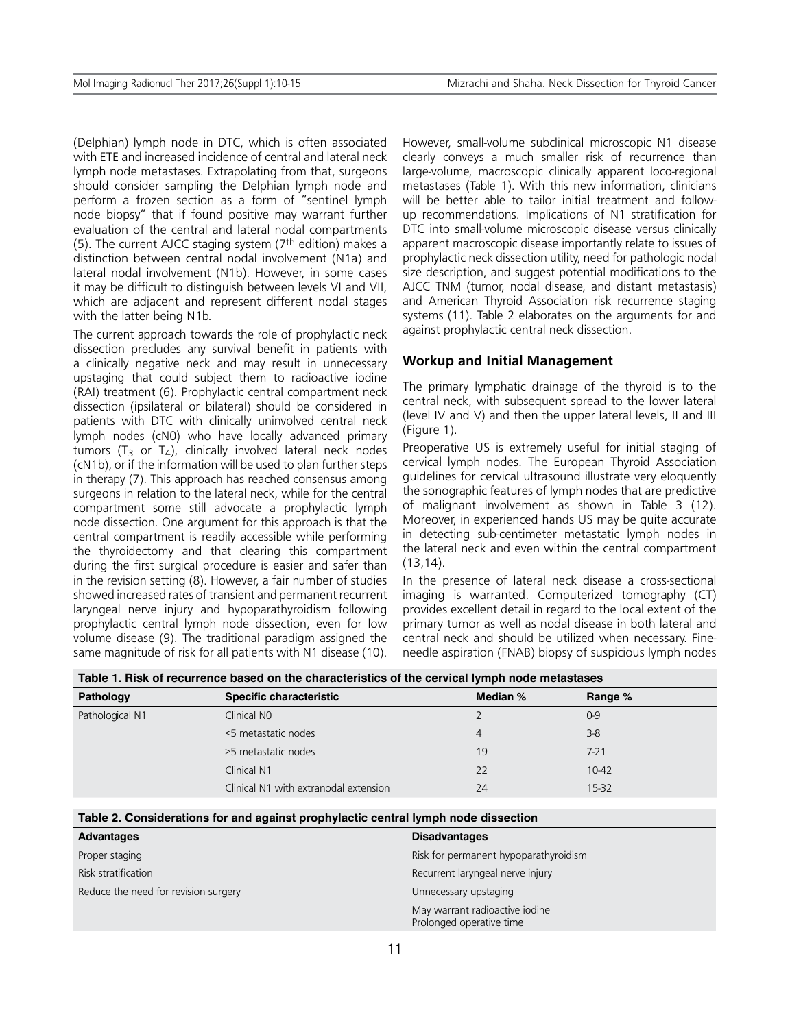(Delphian) lymph node in DTC, which is often associated with ETE and increased incidence of central and lateral neck lymph node metastases. Extrapolating from that, surgeons should consider sampling the Delphian lymph node and perform a frozen section as a form of "sentinel lymph node biopsy" that if found positive may warrant further evaluation of the central and lateral nodal compartments (5). The current AJCC staging system (7th edition) makes a distinction between central nodal involvement (N1a) and lateral nodal involvement (N1b). However, in some cases it may be difficult to distinguish between levels VI and VII, which are adjacent and represent different nodal stages with the latter being N1b.

The current approach towards the role of prophylactic neck dissection precludes any survival benefit in patients with a clinically negative neck and may result in unnecessary upstaging that could subject them to radioactive iodine (RAI) treatment (6). Prophylactic central compartment neck dissection (ipsilateral or bilateral) should be considered in patients with DTC with clinically uninvolved central neck lymph nodes (cN0) who have locally advanced primary tumors ( $T_3$  or  $T_4$ ), clinically involved lateral neck nodes (cN1b), or if the information will be used to plan further steps in therapy (7). This approach has reached consensus among surgeons in relation to the lateral neck, while for the central compartment some still advocate a prophylactic lymph node dissection. One argument for this approach is that the central compartment is readily accessible while performing the thyroidectomy and that clearing this compartment during the first surgical procedure is easier and safer than in the revision setting (8). However, a fair number of studies showed increased rates of transient and permanent recurrent laryngeal nerve injury and hypoparathyroidism following prophylactic central lymph node dissection, even for low volume disease (9). The traditional paradigm assigned the same magnitude of risk for all patients with N1 disease (10).

However, small-volume subclinical microscopic N1 disease clearly conveys a much smaller risk of recurrence than large-volume, macroscopic clinically apparent loco-regional metastases (Table 1). With this new information, clinicians will be better able to tailor initial treatment and followup recommendations. Implications of N1 stratification for DTC into small-volume microscopic disease versus clinically apparent macroscopic disease importantly relate to issues of prophylactic neck dissection utility, need for pathologic nodal size description, and suggest potential modifications to the AJCC TNM (tumor, nodal disease, and distant metastasis) and American Thyroid Association risk recurrence staging systems (11). Table 2 elaborates on the arguments for and against prophylactic central neck dissection.

#### **Workup and Initial Management**

The primary lymphatic drainage of the thyroid is to the central neck, with subsequent spread to the lower lateral (level IV and V) and then the upper lateral levels, II and III (Figure 1).

Preoperative US is extremely useful for initial staging of cervical lymph nodes. The European Thyroid Association guidelines for cervical ultrasound illustrate very eloquently the sonographic features of lymph nodes that are predictive of malignant involvement as shown in Table 3 (12). Moreover, in experienced hands US may be quite accurate in detecting sub-centimeter metastatic lymph nodes in the lateral neck and even within the central compartment (13,14).

In the presence of lateral neck disease a cross-sectional imaging is warranted. Computerized tomography (CT) provides excellent detail in regard to the local extent of the primary tumor as well as nodal disease in both lateral and central neck and should be utilized when necessary. Fineneedle aspiration (FNAB) biopsy of suspicious lymph nodes

| Table 1. Risk of recurrence based on the characteristics of the cervical lymph node metastases |
|------------------------------------------------------------------------------------------------|
|------------------------------------------------------------------------------------------------|

| Pathology       | <b>Specific characteristic</b>        | Median % | Range %  |
|-----------------|---------------------------------------|----------|----------|
| Pathological N1 | Clinical NO                           |          | $0 - 9$  |
|                 | <5 metastatic nodes                   | 4        | $3 - 8$  |
|                 | >5 metastatic nodes                   | 19       | $7 - 21$ |
|                 | Clinical N1                           | 22       | 10-42    |
|                 | Clinical N1 with extranodal extension | 24       | 15-32    |
|                 |                                       |          |          |

|  | Table 2. Considerations for and against prophylactic central lymph node dissection |  |  |  |
|--|------------------------------------------------------------------------------------|--|--|--|
|--|------------------------------------------------------------------------------------|--|--|--|

| Advantages                           | <b>Disadvantages</b>                                       |
|--------------------------------------|------------------------------------------------------------|
| Proper staging                       | Risk for permanent hypoparathyroidism                      |
| Risk stratification                  | Recurrent laryngeal nerve injury                           |
| Reduce the need for revision surgery | Unnecessary upstaging                                      |
|                                      | May warrant radioactive iodine<br>Prolonged operative time |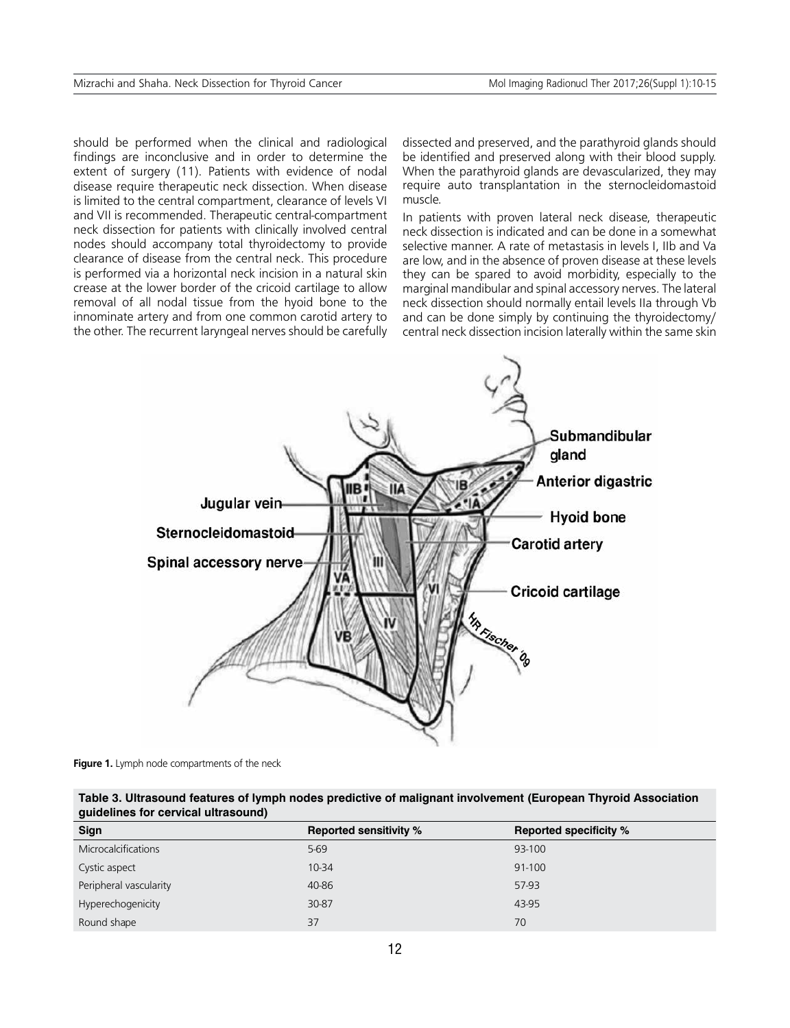should be performed when the clinical and radiological findings are inconclusive and in order to determine the extent of surgery (11). Patients with evidence of nodal disease require therapeutic neck dissection. When disease is limited to the central compartment, clearance of levels VI and VII is recommended. Therapeutic central-compartment neck dissection for patients with clinically involved central nodes should accompany total thyroidectomy to provide clearance of disease from the central neck. This procedure is performed via a horizontal neck incision in a natural skin crease at the lower border of the cricoid cartilage to allow removal of all nodal tissue from the hyoid bone to the innominate artery and from one common carotid artery to the other. The recurrent laryngeal nerves should be carefully dissected and preserved, and the parathyroid glands should be identified and preserved along with their blood supply. When the parathyroid glands are devascularized, they may require auto transplantation in the sternocleidomastoid muscle.

In patients with proven lateral neck disease, therapeutic neck dissection is indicated and can be done in a somewhat selective manner. A rate of metastasis in levels I, IIb and Va are low, and in the absence of proven disease at these levels they can be spared to avoid morbidity, especially to the marginal mandibular and spinal accessory nerves. The lateral neck dissection should normally entail levels IIa through Vb and can be done simply by continuing the thyroidectomy/ central neck dissection incision laterally within the same skin



**Figure 1.** Lymph node compartments of the neck

**Table 3. Ultrasound features of lymph nodes predictive of malignant involvement (European Thyroid Association guidelines for cervical ultrasound)**

| Sign                       | <b>Reported sensitivity %</b> | <b>Reported specificity %</b> |
|----------------------------|-------------------------------|-------------------------------|
| <b>Microcalcifications</b> | $5-69$                        | 93-100                        |
| Cystic aspect              | 10-34                         | 91-100                        |
| Peripheral vascularity     | 40-86                         | 57-93                         |
| Hyperechogenicity          | 30-87                         | 43-95                         |
| Round shape                | 37                            | 70                            |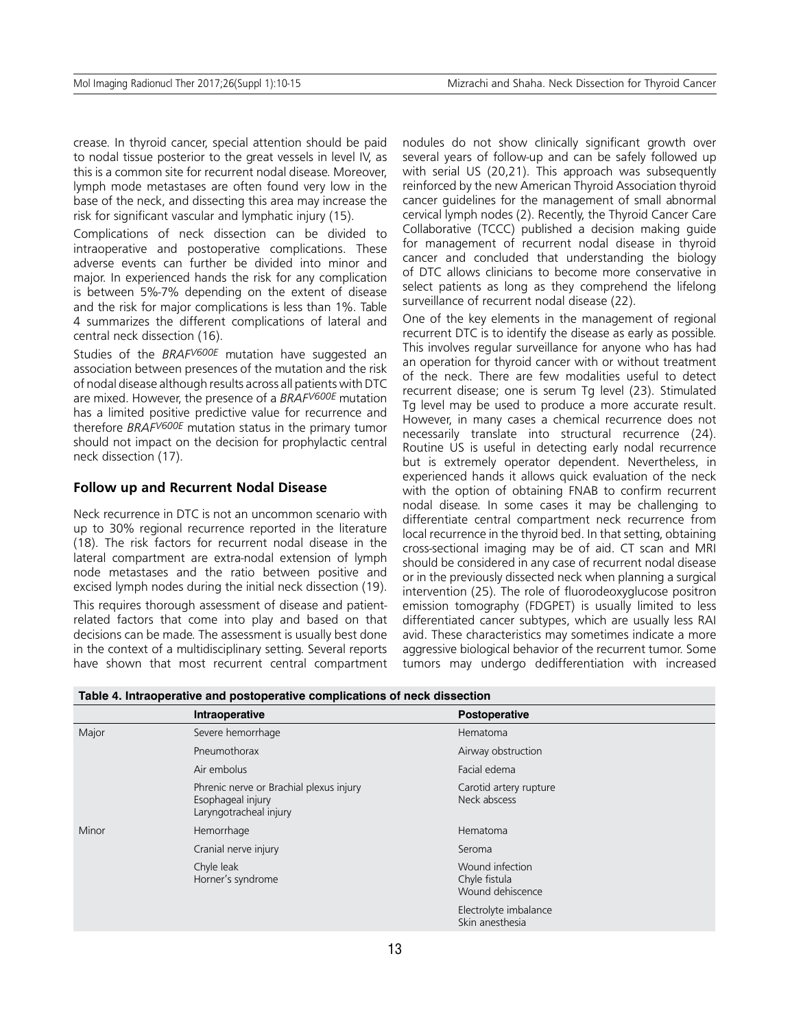crease. In thyroid cancer, special attention should be paid to nodal tissue posterior to the great vessels in level IV, as this is a common site for recurrent nodal disease. Moreover, lymph mode metastases are often found very low in the base of the neck, and dissecting this area may increase the risk for significant vascular and lymphatic injury (15).

Complications of neck dissection can be divided to intraoperative and postoperative complications. These adverse events can further be divided into minor and major. In experienced hands the risk for any complication is between 5%-7% depending on the extent of disease and the risk for major complications is less than 1%. Table 4 summarizes the different complications of lateral and central neck dissection (16).

Studies of the *BRAFV600E* mutation have suggested an association between presences of the mutation and the risk of nodal disease although results across all patients with DTC are mixed. However, the presence of a *BRAFV600E* mutation has a limited positive predictive value for recurrence and therefore *BRAFV600E* mutation status in the primary tumor should not impact on the decision for prophylactic central neck dissection (17).

## **Follow up and Recurrent Nodal Disease**

Neck recurrence in DTC is not an uncommon scenario with up to 30% regional recurrence reported in the literature (18). The risk factors for recurrent nodal disease in the lateral compartment are extra-nodal extension of lymph node metastases and the ratio between positive and excised lymph nodes during the initial neck dissection (19).

This requires thorough assessment of disease and patientrelated factors that come into play and based on that decisions can be made. The assessment is usually best done in the context of a multidisciplinary setting. Several reports have shown that most recurrent central compartment nodules do not show clinically significant growth over several years of follow-up and can be safely followed up with serial US (20,21). This approach was subsequently reinforced by the new American Thyroid Association thyroid cancer guidelines for the management of small abnormal cervical lymph nodes (2). Recently, the Thyroid Cancer Care Collaborative (TCCC) published a decision making guide for management of recurrent nodal disease in thyroid cancer and concluded that understanding the biology of DTC allows clinicians to become more conservative in select patients as long as they comprehend the lifelong surveillance of recurrent nodal disease (22).

One of the key elements in the management of regional recurrent DTC is to identify the disease as early as possible. This involves regular surveillance for anyone who has had an operation for thyroid cancer with or without treatment of the neck. There are few modalities useful to detect recurrent disease; one is serum Tg level (23). Stimulated Tg level may be used to produce a more accurate result. However, in many cases a chemical recurrence does not necessarily translate into structural recurrence (24). Routine US is useful in detecting early nodal recurrence but is extremely operator dependent. Nevertheless, in experienced hands it allows quick evaluation of the neck with the option of obtaining FNAB to confirm recurrent nodal disease. In some cases it may be challenging to differentiate central compartment neck recurrence from local recurrence in the thyroid bed. In that setting, obtaining cross-sectional imaging may be of aid. CT scan and MRI should be considered in any case of recurrent nodal disease or in the previously dissected neck when planning a surgical intervention (25). The role of fluorodeoxyglucose positron emission tomography (FDGPET) is usually limited to less differentiated cancer subtypes, which are usually less RAI avid. These characteristics may sometimes indicate a more aggressive biological behavior of the recurrent tumor. Some tumors may undergo dedifferentiation with increased

|       | Intraoperative                                                                         | Postoperative                                        |
|-------|----------------------------------------------------------------------------------------|------------------------------------------------------|
| Major | Severe hemorrhage                                                                      | Hematoma                                             |
|       | Pneumothorax                                                                           | Airway obstruction                                   |
|       | Air embolus                                                                            | Facial edema                                         |
|       | Phrenic nerve or Brachial plexus injury<br>Esophageal injury<br>Laryngotracheal injury | Carotid artery rupture<br>Neck abscess               |
| Minor | Hemorrhage                                                                             | Hematoma                                             |
|       | Cranial nerve injury                                                                   | Seroma                                               |
|       | Chyle leak<br>Horner's syndrome                                                        | Wound infection<br>Chyle fistula<br>Wound dehiscence |
|       |                                                                                        | Electrolyte imbalance<br>Skin anesthesia             |

**Table 4. Intraoperative and postoperative complications of neck dissection**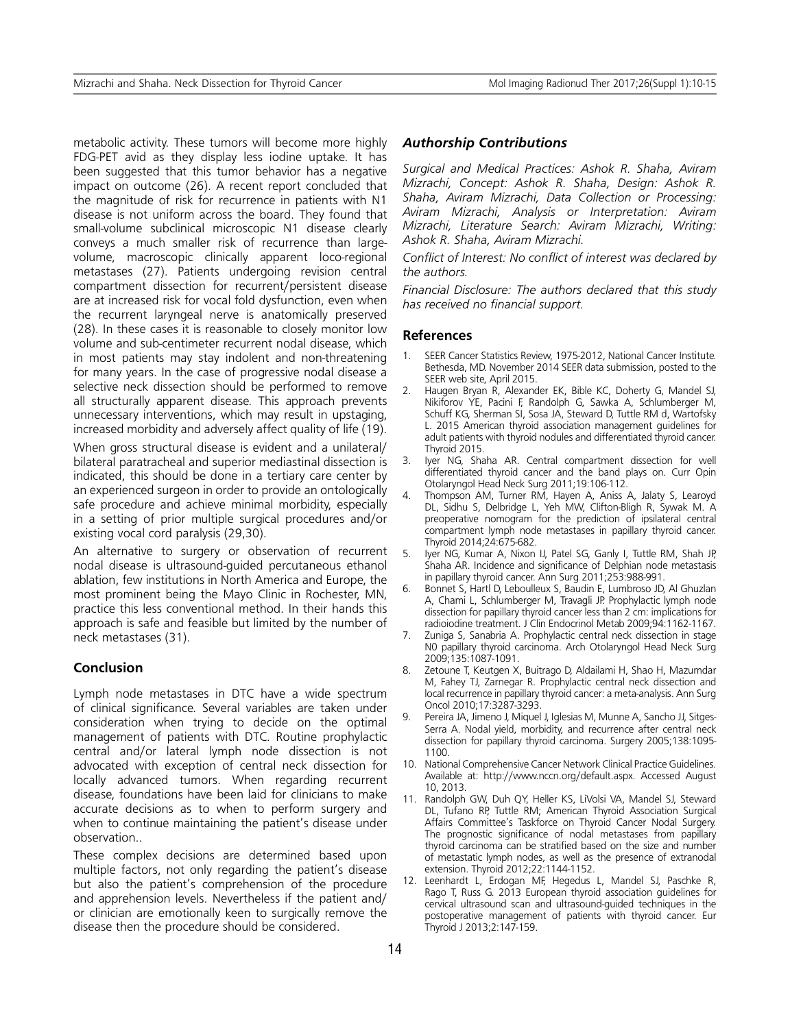metabolic activity. These tumors will become more highly FDG-PET avid as they display less iodine uptake. It has been suggested that this tumor behavior has a negative impact on outcome (26). A recent report concluded that the magnitude of risk for recurrence in patients with N1 disease is not uniform across the board. They found that small-volume subclinical microscopic N1 disease clearly conveys a much smaller risk of recurrence than largevolume, macroscopic clinically apparent loco-regional metastases (27). Patients undergoing revision central compartment dissection for recurrent/persistent disease are at increased risk for vocal fold dysfunction, even when the recurrent laryngeal nerve is anatomically preserved (28). In these cases it is reasonable to closely monitor low volume and sub-centimeter recurrent nodal disease, which in most patients may stay indolent and non-threatening for many years. In the case of progressive nodal disease a selective neck dissection should be performed to remove all structurally apparent disease. This approach prevents unnecessary interventions, which may result in upstaging, increased morbidity and adversely affect quality of life (19).

When gross structural disease is evident and a unilateral/ bilateral paratracheal and superior mediastinal dissection is indicated, this should be done in a tertiary care center by an experienced surgeon in order to provide an ontologically safe procedure and achieve minimal morbidity, especially in a setting of prior multiple surgical procedures and/or existing vocal cord paralysis (29,30).

An alternative to surgery or observation of recurrent nodal disease is ultrasound-guided percutaneous ethanol ablation, few institutions in North America and Europe, the most prominent being the Mayo Clinic in Rochester, MN, practice this less conventional method. In their hands this approach is safe and feasible but limited by the number of neck metastases (31).

## **Conclusion**

Lymph node metastases in DTC have a wide spectrum of clinical significance. Several variables are taken under consideration when trying to decide on the optimal management of patients with DTC. Routine prophylactic central and/or lateral lymph node dissection is not advocated with exception of central neck dissection for locally advanced tumors. When regarding recurrent disease, foundations have been laid for clinicians to make accurate decisions as to when to perform surgery and when to continue maintaining the patient's disease under observation..

These complex decisions are determined based upon multiple factors, not only regarding the patient's disease but also the patient's comprehension of the procedure and apprehension levels. Nevertheless if the patient and/ or clinician are emotionally keen to surgically remove the disease then the procedure should be considered.

#### *Authorship Contributions*

*Surgical and Medical Practices: Ashok R. Shaha, Aviram Mizrachi, Concept: Ashok R. Shaha, Design: Ashok R. Shaha, Aviram Mizrachi, Data Collection or Processing: Aviram Mizrachi, Analysis or Interpretation: Aviram Mizrachi, Literature Search: Aviram Mizrachi, Writing: Ashok R. Shaha, Aviram Mizrachi.*

*Conflict of Interest: No conflict of interest was declared by the authors.*

*Financial Disclosure: The authors declared that this study has received no financial support.*

#### **References**

- SEER Cancer Statistics Review, 1975-2012, National Cancer Institute. Bethesda, MD. November 2014 SEER data submission, posted to the SEER web site, April 2015.
- 2. Haugen Bryan R, Alexander EK, Bible KC, Doherty G, Mandel SJ, Nikiforov YE, Pacini F, Randolph G, Sawka A, Schlumberger M, Schuff KG, Sherman SI, Sosa JA, Steward D, Tuttle RM d, Wartofsky L. 2015 American thyroid association management guidelines for adult patients with thyroid nodules and differentiated thyroid cancer. Thyroid 2015.
- 3. Iyer NG, Shaha AR. Central compartment dissection for well differentiated thyroid cancer and the band plays on. Curr Opin Otolaryngol Head Neck Surg 2011;19:106-112.
- 4. Thompson AM, Turner RM, Hayen A, Aniss A, Jalaty S, Learoyd DL, Sidhu S, Delbridge L, Yeh MW, Clifton-Bligh R, Sywak M. A preoperative nomogram for the prediction of ipsilateral central compartment lymph node metastases in papillary thyroid cancer. Thyroid 2014;24:675-682.
- 5. Iyer NG, Kumar A, Nixon IJ, Patel SG, Ganly I, Tuttle RM, Shah JP, Shaha AR. Incidence and significance of Delphian node metastasis in papillary thyroid cancer. Ann Surg 2011;253:988-991.
- 6. Bonnet S, Hartl D, Leboulleux S, Baudin E, Lumbroso JD, Al Ghuzlan A, Chami L, Schlumberger M, Travagli JP. Prophylactic lymph node dissection for papillary thyroid cancer less than 2 cm: implications for radioiodine treatment. J Clin Endocrinol Metab 2009;94:1162-1167.
- 7. Zuniga S, Sanabria A. Prophylactic central neck dissection in stage N0 papillary thyroid carcinoma. Arch Otolaryngol Head Neck Surg 2009;135:1087-1091.
- 8. Zetoune T, Keutgen X, Buitrago D, Aldailami H, Shao H, Mazumdar M, Fahey TJ, Zarnegar R. Prophylactic central neck dissection and local recurrence in papillary thyroid cancer: a meta-analysis. Ann Surg Oncol 2010;17:3287-3293.
- 9. Pereira JA, Jimeno J, Miquel J, Iglesias M, Munne A, Sancho JJ, Sitges-Serra A. Nodal yield, morbidity, and recurrence after central neck dissection for papillary thyroid carcinoma. Surgery 2005;138:1095- 1100.
- 10. National Comprehensive Cancer Network Clinical Practice Guidelines. Available at: http://www.nccn.org/default.aspx. Accessed August 10, 2013.
- 11. Randolph GW, Duh QY, Heller KS, LiVolsi VA, Mandel SJ, Steward DL, Tufano RP, Tuttle RM; American Thyroid Association Surgical Affairs Committee's Taskforce on Thyroid Cancer Nodal Surgery. The prognostic significance of nodal metastases from papillary thyroid carcinoma can be stratified based on the size and number of metastatic lymph nodes, as well as the presence of extranodal extension. Thyroid 2012;22:1144-1152.
- 12. Leenhardt L, Erdogan MF, Hegedus L, Mandel SJ, Paschke R, Rago T, Russ G. 2013 European thyroid association guidelines for cervical ultrasound scan and ultrasound-guided techniques in the postoperative management of patients with thyroid cancer. Eur Thyroid J 2013;2:147-159.